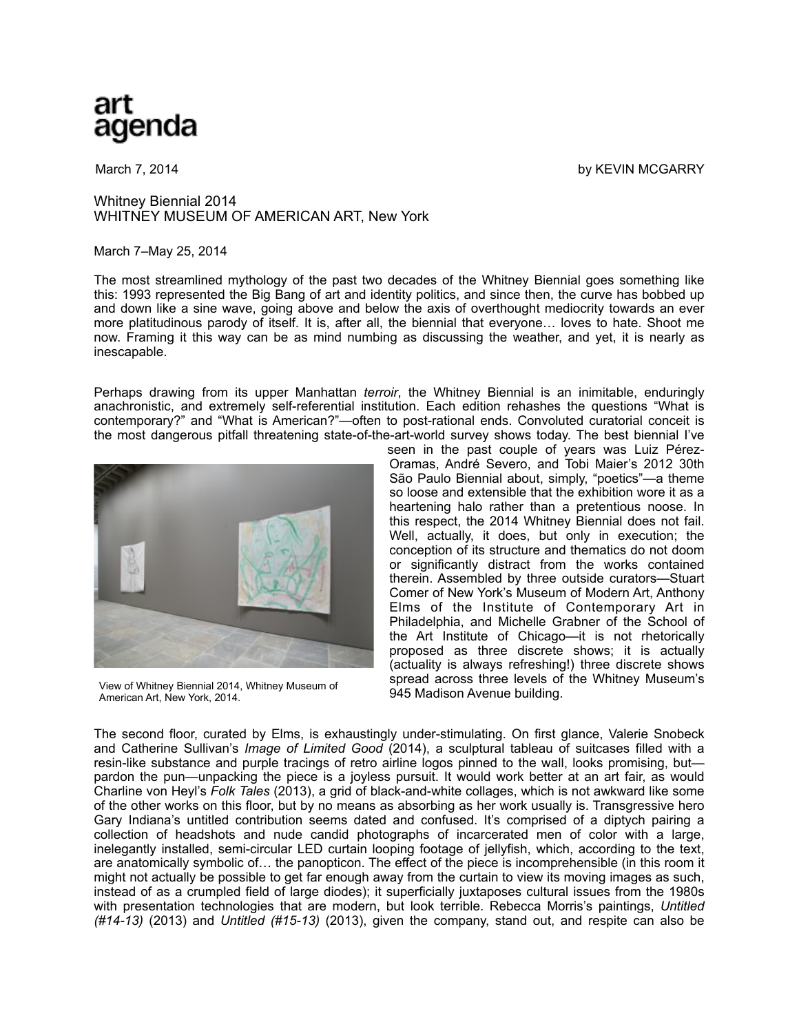## art aqenda

March 7, 2014 by KEVIN MCGARRY

## Whitney Biennial 2014 WHITNEY MUSEUM OF AMERICAN ART, New York

## March 7–May 25, 2014

The most streamlined mythology of the past two decades of the Whitney Biennial goes something like this: 1993 represented the Big Bang of art and identity politics, and since then, the curve has bobbed up and down like a sine wave, going above and below the axis of overthought mediocrity towards an ever more platitudinous parody of itself. It is, after all, the biennial that everyone… loves to hate. Shoot me now. Framing it this way can be as mind numbing as discussing the weather, and yet, it is nearly as inescapable.

Perhaps drawing from its upper Manhattan *terroir*, the Whitney Biennial is an inimitable, enduringly anachronistic, and extremely self-referential institution. Each edition rehashes the questions "What is contemporary?" and "What is American?"—often to post-rational ends. Convoluted curatorial conceit is the most dangerous pitfall threatening state-of-the-art-world survey shows today. The best biennial I've



View of Whitney Biennial 2014, Whitney Museum of American Art, New York, 2014.

seen in the past couple of years was Luiz Pérez-Oramas, André Severo, and Tobi Maier's 2012 30th São Paulo Biennial about, simply, "poetics"—a theme so loose and extensible that the exhibition wore it as a heartening halo rather than a pretentious noose. In this respect, the 2014 Whitney Biennial does not fail. Well, actually, it does, but only in execution; the conception of its structure and thematics do not doom or significantly distract from the works contained therein. Assembled by three outside curators—Stuart Comer of New York's Museum of Modern Art, Anthony Elms of the Institute of Contemporary Art in Philadelphia, and Michelle Grabner of the School of the Art Institute of Chicago—it is not rhetorically proposed as three discrete shows; it is actually (actuality is always refreshing!) three discrete shows spread across three levels of the Whitney Museum's 945 Madison Avenue building.

The second floor, curated by Elms, is exhaustingly under-stimulating. On first glance, Valerie Snobeck and Catherine Sullivan's *Image of Limited Good* (2014), a sculptural tableau of suitcases filled with a resin-like substance and purple tracings of retro airline logos pinned to the wall, looks promising, but pardon the pun—unpacking the piece is a joyless pursuit. It would work better at an art fair, as would Charline von Heyl's *Folk Tales* (2013), a grid of black-and-white collages, which is not awkward like some of the other works on this floor, but by no means as absorbing as her work usually is. Transgressive hero Gary Indiana's untitled contribution seems dated and confused. It's comprised of a diptych pairing a collection of headshots and nude candid photographs of incarcerated men of color with a large, inelegantly installed, semi-circular LED curtain looping footage of jellyfish, which, according to the text, are anatomically symbolic of… the panopticon. The effect of the piece is incomprehensible (in this room it might not actually be possible to get far enough away from the curtain to view its moving images as such, instead of as a crumpled field of large diodes); it superficially juxtaposes cultural issues from the 1980s with presentation technologies that are modern, but look terrible. Rebecca Morris's paintings, *Untitled (#14-13)* (2013) and *Untitled (#15-13)* (2013), given the company, stand out, and respite can also be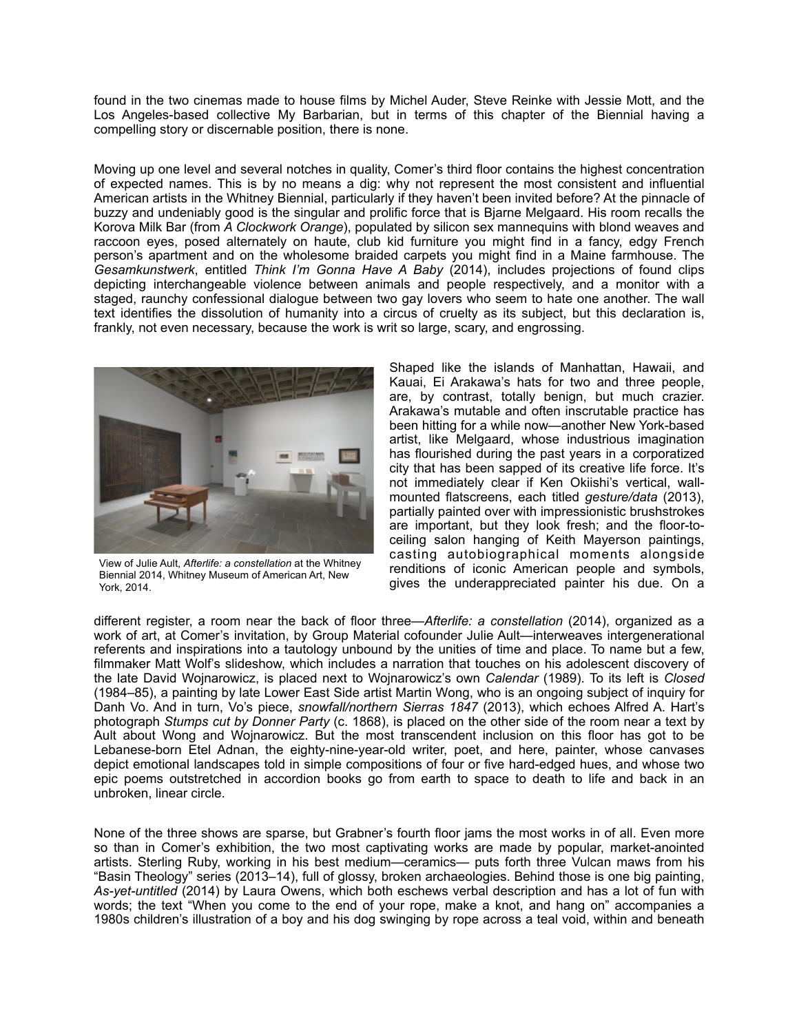found in the two cinemas made to house films by Michel Auder, Steve Reinke with Jessie Mott, and the Los Angeles-based collective My Barbarian, but in terms of this chapter of the Biennial having a compelling story or discernable position, there is none.

Moving up one level and several notches in quality, Comer's third floor contains the highest concentration of expected names. This is by no means a dig: why not represent the most consistent and influential American artists in the Whitney Biennial, particularly if they haven't been invited before? At the pinnacle of buzzy and undeniably good is the singular and prolific force that is Bjarne Melgaard. His room recalls the Korova Milk Bar (from *A Clockwork Orange*), populated by silicon sex mannequins with blond weaves and raccoon eyes, posed alternately on haute, club kid furniture you might find in a fancy, edgy French person's apartment and on the wholesome braided carpets you might find in a Maine farmhouse. The *Gesamkunstwerk*, entitled *Think I'm Gonna Have A Baby* (2014), includes projections of found clips depicting interchangeable violence between animals and people respectively, and a monitor with a staged, raunchy confessional dialogue between two gay lovers who seem to hate one another. The wall text identifies the dissolution of humanity into a circus of cruelty as its subject, but this declaration is, frankly, not even necessary, because the work is writ so large, scary, and engrossing.



View of Julie Ault, *Afterlife: a constellation* at the Whitney Biennial 2014, Whitney Museum of American Art, New York, 2014.

Shaped like the islands of Manhattan, Hawaii, and Kauai, Ei Arakawa's hats for two and three people, are, by contrast, totally benign, but much crazier. Arakawa's mutable and often inscrutable practice has been hitting for a while now—another New York-based artist, like Melgaard, whose industrious imagination has flourished during the past years in a corporatized city that has been sapped of its creative life force. It's not immediately clear if Ken Okiishi's vertical, wallmounted flatscreens, each titled *gesture/data* (2013), partially painted over with impressionistic brushstrokes are important, but they look fresh; and the floor-toceiling salon hanging of Keith Mayerson paintings, casting autobiographical moments alongside renditions of iconic American people and symbols, gives the underappreciated painter his due. On a

different register, a room near the back of floor three—*Afterlife: a constellation* (2014), organized as a work of art, at Comer's invitation, by Group Material cofounder Julie Ault—interweaves intergenerational referents and inspirations into a tautology unbound by the unities of time and place. To name but a few, filmmaker Matt Wolf's slideshow, which includes a narration that touches on his adolescent discovery of the late David Wojnarowicz, is placed next to Wojnarowicz's own *Calendar* (1989). To its left is *Closed*  (1984–85), a painting by late Lower East Side artist Martin Wong, who is an ongoing subject of inquiry for Danh Vo. And in turn, Vo's piece, *snowfall/northern Sierras 1847* (2013), which echoes Alfred A. Hart's photograph *Stumps cut by Donner Party* (c. 1868), is placed on the other side of the room near a text by Ault about Wong and Wojnarowicz. But the most transcendent inclusion on this floor has got to be Lebanese-born Etel Adnan, the eighty-nine-year-old writer, poet, and here, painter, whose canvases depict emotional landscapes told in simple compositions of four or five hard-edged hues, and whose two epic poems outstretched in accordion books go from earth to space to death to life and back in an unbroken, linear circle.

None of the three shows are sparse, but Grabner's fourth floor jams the most works in of all. Even more so than in Comer's exhibition, the two most captivating works are made by popular, market-anointed artists. Sterling Ruby, working in his best medium—ceramics— puts forth three Vulcan maws from his "Basin Theology" series (2013–14), full of glossy, broken archaeologies. Behind those is one big painting, *As-yet-untitled* (2014) by Laura Owens, which both eschews verbal description and has a lot of fun with words; the text "When you come to the end of your rope, make a knot, and hang on" accompanies a 1980s children's illustration of a boy and his dog swinging by rope across a teal void, within and beneath